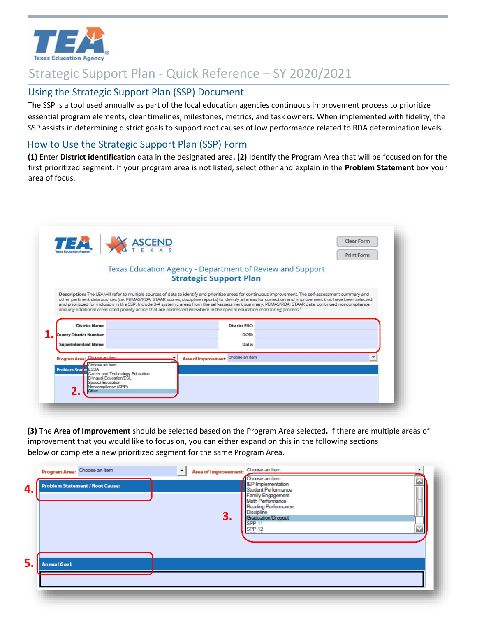

## Strategic Support Plan - Quick Reference – SY 2020/2021

## Using the Strategic Support Plan (SSP) Document

 The SSP is a tool used annually as part of the local education agencies continuous improvement process to prioritize essential program elements, clear timelines, milestones, metrics, and task owners. When implemented with fidelity, the SSP assists in determining district goals to support root causes of low performance related to RDA determination levels.

## How to Use the Strategic Support Plan (SSP) Form

**(1)** Enter **District identification** data in the designated area**. (2)** Identify the Program Area that will be focused on for the first prioritized segment**.** If your program area is not listed, select other and explain in the **Problem Statement** box your area of focus.

|                                                                                         | Texas Education Agency - Department of Review and Support<br><b>Strategic Support Plan</b>                                                                                                                                                                                                                                                                                                                                                                                         |  |
|-----------------------------------------------------------------------------------------|------------------------------------------------------------------------------------------------------------------------------------------------------------------------------------------------------------------------------------------------------------------------------------------------------------------------------------------------------------------------------------------------------------------------------------------------------------------------------------|--|
|                                                                                         |                                                                                                                                                                                                                                                                                                                                                                                                                                                                                    |  |
|                                                                                         | Description: The LEA will refer to multiple sources of data to identify and prioritize areas for continuous improvement. The self-assessment summary and<br>other pertinent data sources (i.e. PBMAS/RDA, STAAR scores, discipline reports) to identify all areas for correction and improvement that have been selected<br>and prioritized for inclusion in the SSP. Include 3-4 systemic areas from the self-assessment summary, PBMAS/RDA, STAAR data, continued noncompliance, |  |
|                                                                                         | and any additional areas cited priority action that are addressed elsewhere in the special education monitoring process. <sup>1</sup>                                                                                                                                                                                                                                                                                                                                              |  |
| <b>District Name:</b>                                                                   | <b>District ESC:</b>                                                                                                                                                                                                                                                                                                                                                                                                                                                               |  |
| <b>County District Number:</b>                                                          | DCSI:                                                                                                                                                                                                                                                                                                                                                                                                                                                                              |  |
|                                                                                         |                                                                                                                                                                                                                                                                                                                                                                                                                                                                                    |  |
| <b>Superintendent Name:</b>                                                             | Date:                                                                                                                                                                                                                                                                                                                                                                                                                                                                              |  |
|                                                                                         | Choose an Item                                                                                                                                                                                                                                                                                                                                                                                                                                                                     |  |
| Program Area: Choose an item.<br>Choose an item<br><b>Problem Staten</b><br><b>ESSA</b> | <b>Area of Improvement:</b>                                                                                                                                                                                                                                                                                                                                                                                                                                                        |  |

 improvement that you would like to focus on, you can either expand on this in the following sections **(3)** The **Area of Improvement** should be selected based on the Program Area selected**.** If there are multiple areas of below or complete a new prioritized segment for the same Program Area.

|    | Program Area: Choose an item           | Area of Improvement: Choose an Item          | Choose an item                                                                                          |  |
|----|----------------------------------------|----------------------------------------------|---------------------------------------------------------------------------------------------------------|--|
| 4. | <b>Problem Statement / Root Cause:</b> |                                              | <b>IEP</b> Implementation<br>Student Performance                                                        |  |
|    |                                        | 3.<br>SPP <sub>11</sub><br>SPP <sub>12</sub> | Family Engagement<br>Math Performance<br>Reading Performance<br><b>Discipline</b><br>Graduation/Dropout |  |
| 5. | <b>Annual Goal:</b>                    |                                              |                                                                                                         |  |